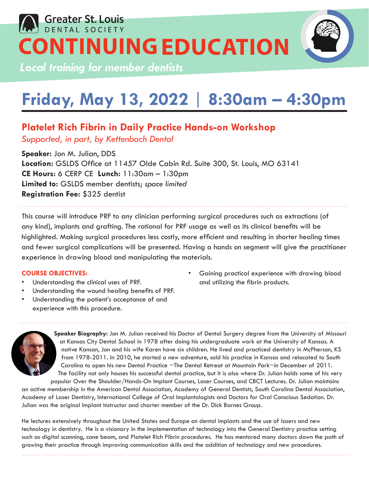## **Greater St. Louis CONTINUING EDUCATION**

*Local training for member dentists*

## **Friday, May 13, 2022** | **8:30am – 4:30pm**

### **Platelet Rich Fibrin in Daily Practice Hands-on Workshop**

*Supported, in part, by Kettenbach Dental*

**Speaker:** Jon M. Julian, DDS **Location:** GSLDS Office at 11457 Olde Cabin Rd. Suite 300, St. Louis, MO 63141 **CE Hours:** 6 CERP CE **Lunch:** 11:30am – 1:30pm **Limited to:** GSLDS member dentists; *space limited* **Registration Fee:** \$325 dentist

This course will introduce PRF to any clinician performing surgical procedures such as extractions (of any kind), implants and grafting. The rational for PRF usage as well as its clinical benefits will be highlighted. Making surgical procedures less costly, more efficient and resulting in shorter healing times and fewer surgical complications will be presented. Having a hands on segment will give the practitioner experience in drawing blood and manipulating the materials.

#### **COURSE OBJECTIVES:**

- Understanding the clinical uses of PRF.
- Understanding the wound healing benefits of PRF.
- Understanding the patient's acceptance of and experience with this procedure.
- Gaining practical experience with drawing blood and utilizing the fibrin products.



**Speaker Biography:** Jon M. Julian received his Doctor of Dental Surgery degree from the University of Missouri at Kansas City Dental School in 1978 after doing his undergraduate work at the University of Kansas. A native Kansan, Jon and his wife Karen have six children. He lived and practiced dentistry in McPherson, KS from 1978-2011. In 2010, he started a new adventure, sold his practice in Kansas and relocated to South Carolina to open his new Dental Practice ~The Dental Retreat at Mountain Park~in December of 2011. The facility not only houses his successful dental practice, but it is also where Dr. Julian holds some of his very popular Over the Shoulder/Hands-On Implant Courses, Laser Courses, and CBCT Lectures. Dr. Julian maintains

an active membership in the American Dental Association, Academy of General Dentists, South Carolina Dental Association, Academy of Laser Dentistry, International College of Oral Implantologists and Doctors for Oral Conscious Sedation. Dr. Julian was the original Implant Instructor and charter member of the Dr. Dick Barnes Group.

He lectures extensively throughout the United States and Europe on dental implants and the use of lasers and new technology in dentistry. He is a visionary in the implementation of technology into the General Dentistry practice setting such as digital scanning, cone beam, and Platelet Rich Fibrin procedures. He has mentored many doctors down the path of growing their practice through improving communication skills and the addition of technology and new procedures.